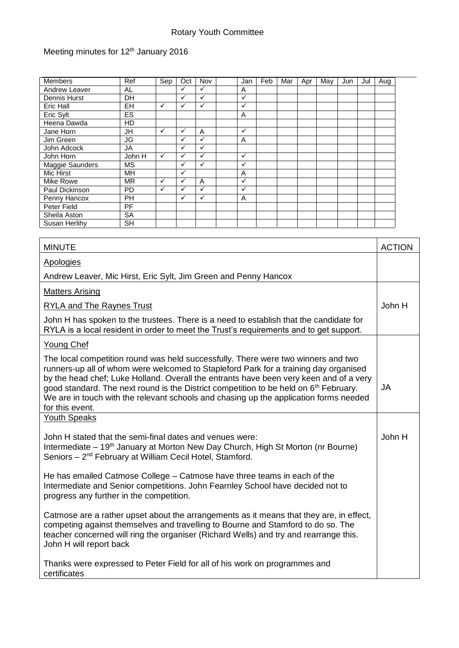## Rotary Youth Committee

## Meeting minutes for 12<sup>th</sup> January 2016

| <b>Members</b>       | Ref       | Sep          | Oct          | Nov          | Jan          | Feb | Mar | Apr | May | Jun | Jul | Aug |
|----------------------|-----------|--------------|--------------|--------------|--------------|-----|-----|-----|-----|-----|-----|-----|
| Andrew Leaver        | AL        |              |              | ✓            | A            |     |     |     |     |     |     |     |
| Dennis Hurst         | DH        |              | ✓            | ✓            | $\checkmark$ |     |     |     |     |     |     |     |
| <b>Eric Hall</b>     | <b>EH</b> | ✓            | ✓            | $\checkmark$ | $\checkmark$ |     |     |     |     |     |     |     |
| Eric Sylt            | <b>ES</b> |              |              |              | A            |     |     |     |     |     |     |     |
| Heena Dawda          | HD        |              |              |              |              |     |     |     |     |     |     |     |
| Jane Horn            | JH        | $\checkmark$ | ✓            | A            | $\checkmark$ |     |     |     |     |     |     |     |
| Jim Green            | JG        |              | ✓            | ✓            | A            |     |     |     |     |     |     |     |
| John Adcock          | JA        |              | $\checkmark$ | ✓            |              |     |     |     |     |     |     |     |
| John Horn            | John H    | ✓            | ✓            | ✓            | $\checkmark$ |     |     |     |     |     |     |     |
| Maggie Saunders      | <b>MS</b> |              | ✓            | ✓            | $\checkmark$ |     |     |     |     |     |     |     |
| Mic Hirst            | MН        |              | ✓            |              | A            |     |     |     |     |     |     |     |
| Mike Rowe            | <b>MR</b> | $\checkmark$ | $\checkmark$ | A            | $\checkmark$ |     |     |     |     |     |     |     |
| Paul Dickinson       | <b>PD</b> | ✓            | $\checkmark$ | $\checkmark$ | ✓            |     |     |     |     |     |     |     |
| Penny Hancox         | <b>PH</b> |              | ✓            | ✓            | A            |     |     |     |     |     |     |     |
| Peter Field          | PF        |              |              |              |              |     |     |     |     |     |     |     |
| Sheila Aston         | <b>SA</b> |              |              |              |              |     |     |     |     |     |     |     |
| <b>Susan Herlihy</b> | <b>SH</b> |              |              |              |              |     |     |     |     |     |     |     |

| <b>MINUTE</b>                                                                                                                                                                                                                                                                                                                                                                                                                                                                        | <b>ACTION</b> |  |  |
|--------------------------------------------------------------------------------------------------------------------------------------------------------------------------------------------------------------------------------------------------------------------------------------------------------------------------------------------------------------------------------------------------------------------------------------------------------------------------------------|---------------|--|--|
| <b>Apologies</b>                                                                                                                                                                                                                                                                                                                                                                                                                                                                     |               |  |  |
| Andrew Leaver, Mic Hirst, Eric Sylt, Jim Green and Penny Hancox                                                                                                                                                                                                                                                                                                                                                                                                                      |               |  |  |
| <b>Matters Arising</b>                                                                                                                                                                                                                                                                                                                                                                                                                                                               |               |  |  |
| <b>RYLA and The Raynes Trust</b>                                                                                                                                                                                                                                                                                                                                                                                                                                                     | John H        |  |  |
| John H has spoken to the trustees. There is a need to establish that the candidate for<br>RYLA is a local resident in order to meet the Trust's requirements and to get support.                                                                                                                                                                                                                                                                                                     |               |  |  |
| <b>Young Chef</b>                                                                                                                                                                                                                                                                                                                                                                                                                                                                    |               |  |  |
| The local competition round was held successfully. There were two winners and two<br>runners-up all of whom were welcomed to Stapleford Park for a training day organised<br>by the head chef; Luke Holland. Overall the entrants have been very keen and of a very<br>good standard. The next round is the District competition to be held on 6 <sup>th</sup> February.<br>We are in touch with the relevant schools and chasing up the application forms needed<br>for this event. | JA            |  |  |
| <b>Youth Speaks</b>                                                                                                                                                                                                                                                                                                                                                                                                                                                                  |               |  |  |
| John H stated that the semi-final dates and venues were:<br>Intermediate – 19 <sup>th</sup> January at Morton New Day Church, High St Morton (nr Bourne)<br>Seniors - 2 <sup>nd</sup> February at William Cecil Hotel, Stamford.                                                                                                                                                                                                                                                     | John H        |  |  |
| He has emailed Catmose College – Catmose have three teams in each of the<br>Intermediate and Senior competitions. John Fearnley School have decided not to<br>progress any further in the competition.                                                                                                                                                                                                                                                                               |               |  |  |
| Catmose are a rather upset about the arrangements as it means that they are, in effect,<br>competing against themselves and travelling to Bourne and Stamford to do so. The<br>teacher concerned will ring the organiser (Richard Wells) and try and rearrange this.<br>John H will report back                                                                                                                                                                                      |               |  |  |
| Thanks were expressed to Peter Field for all of his work on programmes and<br>certificates                                                                                                                                                                                                                                                                                                                                                                                           |               |  |  |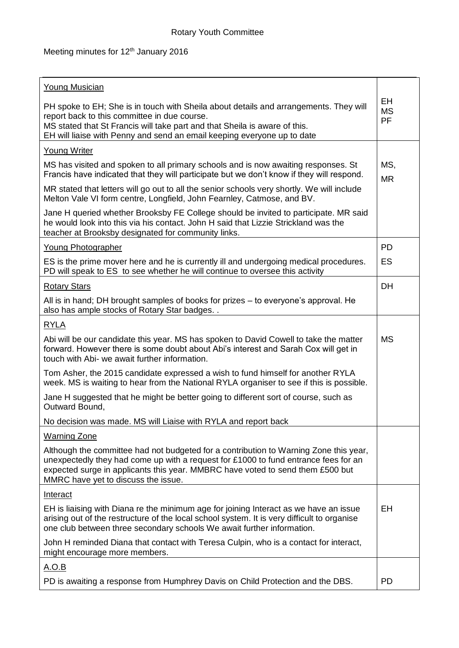## Meeting minutes for 12<sup>th</sup> January 2016

| <b>Young Musician</b>                                                                                                                                                                                                                                                                                 |                  |  |
|-------------------------------------------------------------------------------------------------------------------------------------------------------------------------------------------------------------------------------------------------------------------------------------------------------|------------------|--|
| PH spoke to EH; She is in touch with Sheila about details and arrangements. They will<br>report back to this committee in due course.<br>MS stated that St Francis will take part and that Sheila is aware of this.<br>EH will liaise with Penny and send an email keeping everyone up to date        |                  |  |
| <b>Young Writer</b>                                                                                                                                                                                                                                                                                   |                  |  |
| MS has visited and spoken to all primary schools and is now awaiting responses. St<br>Francis have indicated that they will participate but we don't know if they will respond.                                                                                                                       | MS,<br><b>MR</b> |  |
| MR stated that letters will go out to all the senior schools very shortly. We will include<br>Melton Vale VI form centre, Longfield, John Fearnley, Catmose, and BV.                                                                                                                                  |                  |  |
| Jane H queried whether Brooksby FE College should be invited to participate. MR said<br>he would look into this via his contact. John H said that Lizzie Strickland was the<br>teacher at Brooksby designated for community links.                                                                    |                  |  |
| <b>Young Photographer</b>                                                                                                                                                                                                                                                                             | PD               |  |
| ES is the prime mover here and he is currently ill and undergoing medical procedures.<br>PD will speak to ES to see whether he will continue to oversee this activity                                                                                                                                 | <b>ES</b>        |  |
| <b>Rotary Stars</b>                                                                                                                                                                                                                                                                                   | <b>DH</b>        |  |
| All is in hand; DH brought samples of books for prizes – to everyone's approval. He<br>also has ample stocks of Rotary Star badges                                                                                                                                                                    |                  |  |
| <b>RYLA</b>                                                                                                                                                                                                                                                                                           |                  |  |
| Abi will be our candidate this year. MS has spoken to David Cowell to take the matter<br>forward. However there is some doubt about Abi's interest and Sarah Cox will get in<br>touch with Abi- we await further information.                                                                         | <b>MS</b>        |  |
| Tom Asher, the 2015 candidate expressed a wish to fund himself for another RYLA<br>week. MS is waiting to hear from the National RYLA organiser to see if this is possible.                                                                                                                           |                  |  |
| Jane H suggested that he might be better going to different sort of course, such as<br>Outward Bound,                                                                                                                                                                                                 |                  |  |
| No decision was made. MS will Liaise with RYLA and report back                                                                                                                                                                                                                                        |                  |  |
| <b>Warning Zone</b>                                                                                                                                                                                                                                                                                   |                  |  |
| Although the committee had not budgeted for a contribution to Warning Zone this year,<br>unexpectedly they had come up with a request for £1000 to fund entrance fees for an<br>expected surge in applicants this year. MMBRC have voted to send them £500 but<br>MMRC have yet to discuss the issue. |                  |  |
| <b>Interact</b>                                                                                                                                                                                                                                                                                       |                  |  |
| EH is liaising with Diana re the minimum age for joining Interact as we have an issue<br>arising out of the restructure of the local school system. It is very difficult to organise<br>one club between three secondary schools We await further information.                                        | EH               |  |
| John H reminded Diana that contact with Teresa Culpin, who is a contact for interact,<br>might encourage more members.                                                                                                                                                                                |                  |  |
| <u>A.O.B</u>                                                                                                                                                                                                                                                                                          |                  |  |
| PD is awaiting a response from Humphrey Davis on Child Protection and the DBS.                                                                                                                                                                                                                        | <b>PD</b>        |  |